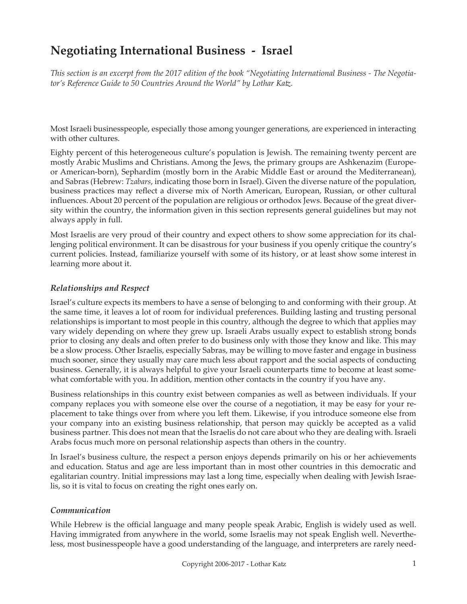# **Negotiating International Business - Israel**

*This section is an excerpt from the 2017 edition of the book "Negotiating International Business - The Negotiator's Reference Guide to 50 Countries Around the World" by Lothar Katz.*

Most Israeli businesspeople, especially those among younger generations, are experienced in interacting with other cultures.

Eighty percent of this heterogeneous culture's population is Jewish. The remaining twenty percent are mostly Arabic Muslims and Christians. Among the Jews, the primary groups are Ashkenazim (Europeor American-born), Sephardim (mostly born in the Arabic Middle East or around the Mediterranean), and Sabras (Hebrew: *Tzabars*, indicating those born in Israel). Given the diverse nature of the population, business practices may reflect a diverse mix of North American, European, Russian, or other cultural influences. About 20 percent of the population are religious or orthodox Jews. Because of the great diversity within the country, the information given in this section represents general guidelines but may not always apply in full.

Most Israelis are very proud of their country and expect others to show some appreciation for its challenging political environment. It can be disastrous for your business if you openly critique the country's current policies. Instead, familiarize yourself with some of its history, or at least show some interest in learning more about it.

#### *Relationships and Respect*

Israel's culture expects its members to have a sense of belonging to and conforming with their group. At the same time, it leaves a lot of room for individual preferences. Building lasting and trusting personal relationships is important to most people in this country, although the degree to which that applies may vary widely depending on where they grew up. Israeli Arabs usually expect to establish strong bonds prior to closing any deals and often prefer to do business only with those they know and like. This may be a slow process. Other Israelis, especially Sabras, may be willing to move faster and engage in business much sooner, since they usually may care much less about rapport and the social aspects of conducting business. Generally, it is always helpful to give your Israeli counterparts time to become at least somewhat comfortable with you. In addition, mention other contacts in the country if you have any.

Business relationships in this country exist between companies as well as between individuals. If your company replaces you with someone else over the course of a negotiation, it may be easy for your replacement to take things over from where you left them. Likewise, if you introduce someone else from your company into an existing business relationship, that person may quickly be accepted as a valid business partner. This does not mean that the Israelis do not care about who they are dealing with. Israeli Arabs focus much more on personal relationship aspects than others in the country.

In Israel's business culture, the respect a person enjoys depends primarily on his or her achievements and education. Status and age are less important than in most other countries in this democratic and egalitarian country. Initial impressions may last a long time, especially when dealing with Jewish Israelis, so it is vital to focus on creating the right ones early on.

#### *Communication*

While Hebrew is the official language and many people speak Arabic, English is widely used as well. Having immigrated from anywhere in the world, some Israelis may not speak English well. Nevertheless, most businesspeople have a good understanding of the language, and interpreters are rarely need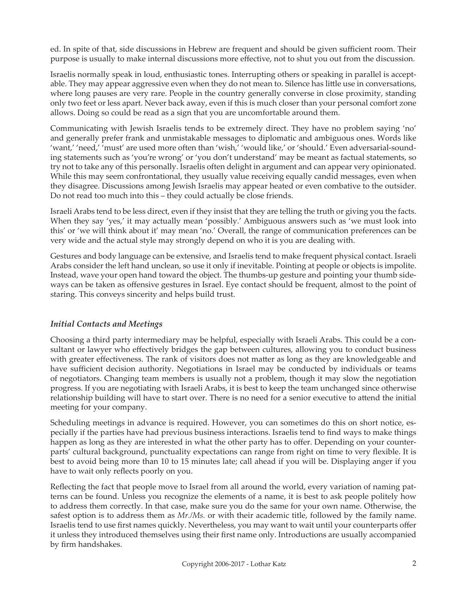ed. In spite of that, side discussions in Hebrew are frequent and should be given sufficient room. Their purpose is usually to make internal discussions more effective, not to shut you out from the discussion.

Israelis normally speak in loud, enthusiastic tones. Interrupting others or speaking in parallel is acceptable. They may appear aggressive even when they do not mean to. Silence has little use in conversations, where long pauses are very rare. People in the country generally converse in close proximity, standing only two feet or less apart. Never back away, even if this is much closer than your personal comfort zone allows. Doing so could be read as a sign that you are uncomfortable around them.

Communicating with Jewish Israelis tends to be extremely direct. They have no problem saying 'no' and generally prefer frank and unmistakable messages to diplomatic and ambiguous ones. Words like 'want,' 'need,' 'must' are used more often than 'wish,' 'would like,' or 'should.' Even adversarial-sounding statements such as 'you're wrong' or 'you don't understand' may be meant as factual statements, so try not to take any of this personally. Israelis often delight in argument and can appear very opinionated. While this may seem confrontational, they usually value receiving equally candid messages, even when they disagree. Discussions among Jewish Israelis may appear heated or even combative to the outsider. Do not read too much into this – they could actually be close friends.

Israeli Arabs tend to be less direct, even if they insist that they are telling the truth or giving you the facts. When they say 'yes,' it may actually mean 'possibly.' Ambiguous answers such as 'we must look into this' or 'we will think about it' may mean 'no.' Overall, the range of communication preferences can be very wide and the actual style may strongly depend on who it is you are dealing with.

Gestures and body language can be extensive, and Israelis tend to make frequent physical contact. Israeli Arabs consider the left hand unclean, so use it only if inevitable. Pointing at people or objects is impolite. Instead, wave your open hand toward the object. The thumbs-up gesture and pointing your thumb sideways can be taken as offensive gestures in Israel. Eye contact should be frequent, almost to the point of staring. This conveys sincerity and helps build trust.

#### *Initial Contacts and Meetings*

Choosing a third party intermediary may be helpful, especially with Israeli Arabs. This could be a consultant or lawyer who effectively bridges the gap between cultures, allowing you to conduct business with greater effectiveness. The rank of visitors does not matter as long as they are knowledgeable and have sufficient decision authority. Negotiations in Israel may be conducted by individuals or teams of negotiators. Changing team members is usually not a problem, though it may slow the negotiation progress. If you are negotiating with Israeli Arabs, it is best to keep the team unchanged since otherwise relationship building will have to start over. There is no need for a senior executive to attend the initial meeting for your company.

Scheduling meetings in advance is required. However, you can sometimes do this on short notice, especially if the parties have had previous business interactions. Israelis tend to find ways to make things happen as long as they are interested in what the other party has to offer. Depending on your counterparts' cultural background, punctuality expectations can range from right on time to very flexible. It is best to avoid being more than 10 to 15 minutes late; call ahead if you will be. Displaying anger if you have to wait only reflects poorly on you.

Reflecting the fact that people move to Israel from all around the world, every variation of naming patterns can be found. Unless you recognize the elements of a name, it is best to ask people politely how to address them correctly. In that case, make sure you do the same for your own name. Otherwise, the safest option is to address them as *Mr./Ms.* or with their academic title, followed by the family name. Israelis tend to use first names quickly. Nevertheless, you may want to wait until your counterparts offer it unless they introduced themselves using their first name only. Introductions are usually accompanied by firm handshakes.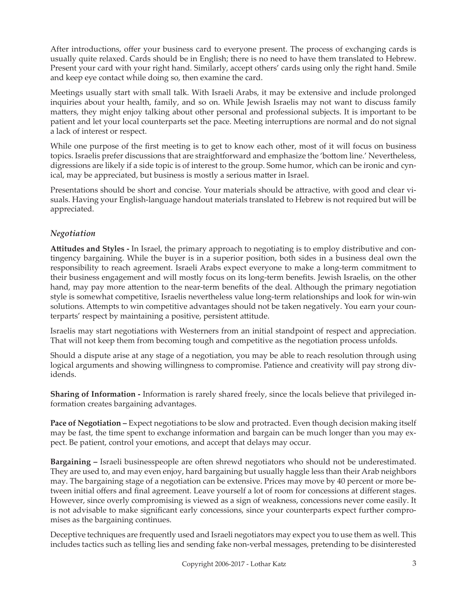After introductions, offer your business card to everyone present. The process of exchanging cards is usually quite relaxed. Cards should be in English; there is no need to have them translated to Hebrew. Present your card with your right hand. Similarly, accept others' cards using only the right hand. Smile and keep eye contact while doing so, then examine the card.

Meetings usually start with small talk. With Israeli Arabs, it may be extensive and include prolonged inquiries about your health, family, and so on. While Jewish Israelis may not want to discuss family matters, they might enjoy talking about other personal and professional subjects. It is important to be patient and let your local counterparts set the pace. Meeting interruptions are normal and do not signal a lack of interest or respect.

While one purpose of the first meeting is to get to know each other, most of it will focus on business topics. Israelis prefer discussions that are straightforward and emphasize the 'bottom line.' Nevertheless, digressions are likely if a side topic is of interest to the group. Some humor, which can be ironic and cynical, may be appreciated, but business is mostly a serious matter in Israel.

Presentations should be short and concise. Your materials should be attractive, with good and clear visuals. Having your English-language handout materials translated to Hebrew is not required but will be appreciated.

# *Negotiation*

**Attitudes and Styles -** In Israel, the primary approach to negotiating is to employ distributive and contingency bargaining. While the buyer is in a superior position, both sides in a business deal own the responsibility to reach agreement. Israeli Arabs expect everyone to make a long-term commitment to their business engagement and will mostly focus on its long-term benefits. Jewish Israelis, on the other hand, may pay more attention to the near-term benefits of the deal. Although the primary negotiation style is somewhat competitive, Israelis nevertheless value long-term relationships and look for win-win solutions. Attempts to win competitive advantages should not be taken negatively. You earn your counterparts' respect by maintaining a positive, persistent attitude.

Israelis may start negotiations with Westerners from an initial standpoint of respect and appreciation. That will not keep them from becoming tough and competitive as the negotiation process unfolds.

Should a dispute arise at any stage of a negotiation, you may be able to reach resolution through using logical arguments and showing willingness to compromise. Patience and creativity will pay strong dividends.

**Sharing of Information -** Information is rarely shared freely, since the locals believe that privileged information creates bargaining advantages.

Pace of Negotiation – Expect negotiations to be slow and protracted. Even though decision making itself may be fast, the time spent to exchange information and bargain can be much longer than you may expect. Be patient, control your emotions, and accept that delays may occur.

**Bargaining –** Israeli businesspeople are often shrewd negotiators who should not be underestimated. They are used to, and may even enjoy, hard bargaining but usually haggle less than their Arab neighbors may. The bargaining stage of a negotiation can be extensive. Prices may move by 40 percent or more between initial offers and final agreement. Leave yourself a lot of room for concessions at different stages. However, since overly compromising is viewed as a sign of weakness, concessions never come easily. It is not advisable to make significant early concessions, since your counterparts expect further compromises as the bargaining continues.

Deceptive techniques are frequently used and Israeli negotiators may expect you to use them as well. This includes tactics such as telling lies and sending fake non-verbal messages, pretending to be disinterested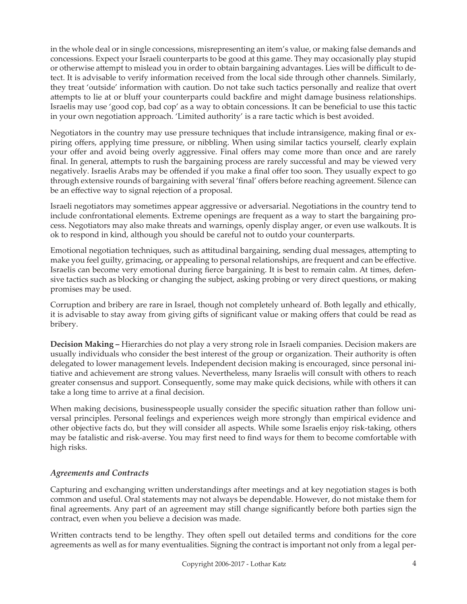in the whole deal or in single concessions, misrepresenting an item's value, or making false demands and concessions. Expect your Israeli counterparts to be good at this game. They may occasionally play stupid or otherwise attempt to mislead you in order to obtain bargaining advantages. Lies will be difficult to detect. It is advisable to verify information received from the local side through other channels. Similarly, they treat 'outside' information with caution. Do not take such tactics personally and realize that overt attempts to lie at or bluff your counterparts could backfire and might damage business relationships. Israelis may use 'good cop, bad cop' as a way to obtain concessions. It can be beneficial to use this tactic in your own negotiation approach. 'Limited authority' is a rare tactic which is best avoided.

Negotiators in the country may use pressure techniques that include intransigence, making final or expiring offers, applying time pressure, or nibbling. When using similar tactics yourself, clearly explain your offer and avoid being overly aggressive. Final offers may come more than once and are rarely final. In general, attempts to rush the bargaining process are rarely successful and may be viewed very negatively. Israelis Arabs may be offended if you make a final offer too soon. They usually expect to go through extensive rounds of bargaining with several 'final' offers before reaching agreement. Silence can be an effective way to signal rejection of a proposal.

Israeli negotiators may sometimes appear aggressive or adversarial. Negotiations in the country tend to include confrontational elements. Extreme openings are frequent as a way to start the bargaining process. Negotiators may also make threats and warnings, openly display anger, or even use walkouts. It is ok to respond in kind, although you should be careful not to outdo your counterparts.

Emotional negotiation techniques, such as attitudinal bargaining, sending dual messages, attempting to make you feel guilty, grimacing, or appealing to personal relationships, are frequent and can be effective. Israelis can become very emotional during fierce bargaining. It is best to remain calm. At times, defensive tactics such as blocking or changing the subject, asking probing or very direct questions, or making promises may be used.

Corruption and bribery are rare in Israel, though not completely unheard of. Both legally and ethically, it is advisable to stay away from giving gifts of significant value or making offers that could be read as bribery.

**Decision Making –** Hierarchies do not play a very strong role in Israeli companies. Decision makers are usually individuals who consider the best interest of the group or organization. Their authority is often delegated to lower management levels. Independent decision making is encouraged, since personal initiative and achievement are strong values. Nevertheless, many Israelis will consult with others to reach greater consensus and support. Consequently, some may make quick decisions, while with others it can take a long time to arrive at a final decision.

When making decisions, businesspeople usually consider the specific situation rather than follow universal principles. Personal feelings and experiences weigh more strongly than empirical evidence and other objective facts do, but they will consider all aspects. While some Israelis enjoy risk-taking, others may be fatalistic and risk-averse. You may first need to find ways for them to become comfortable with high risks.

# *Agreements and Contracts*

Capturing and exchanging written understandings after meetings and at key negotiation stages is both common and useful. Oral statements may not always be dependable. However, do not mistake them for final agreements. Any part of an agreement may still change significantly before both parties sign the contract, even when you believe a decision was made.

Written contracts tend to be lengthy. They often spell out detailed terms and conditions for the core agreements as well as for many eventualities. Signing the contract is important not only from a legal per